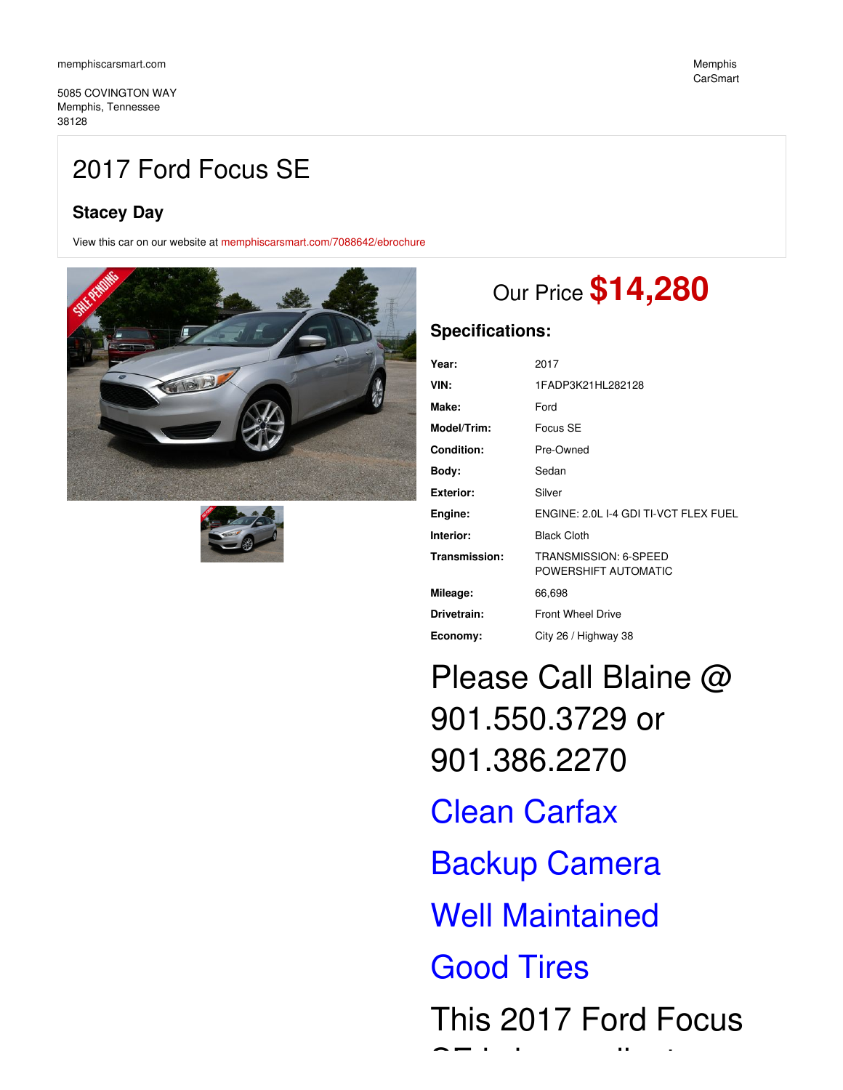5085 COVINGTON WAY Memphis, Tennessee 38128

## 2017 Ford Focus SE

## **Stacey Day**

View this car on our website at [memphiscarsmart.com/7088642/ebrochure](https://memphiscarsmart.com/vehicle/7088642/2017-ford-focus-se-memphis-tennessee-38128/7088642/ebrochure)





# Our Price **\$14,280**

### **Specifications:**

| Year:            | 2017                                          |
|------------------|-----------------------------------------------|
| VIN:             | 1FADP3K21HL282128                             |
| Make:            | Ford                                          |
| Model/Trim:      | Focus SE                                      |
| Condition:       | Pre-Owned                                     |
| Body:            | Sedan                                         |
| <b>Exterior:</b> | Silver                                        |
| Engine:          | ENGINE: 2.0L I-4 GDI TI-VCT FLEX FUEL         |
| Interior:        | <b>Black Cloth</b>                            |
| Transmission:    | TRANSMISSION: 6-SPEED<br>POWERSHIFT AUTOMATIC |
| Mileage:         | 66,698                                        |
| Drivetrain:      | <b>Front Wheel Drive</b>                      |
| Economy:         | City 26 / Highway 38                          |

Please Call Blaine @ 901.550.3729 or 901.386.2270

Clean Carfax Backup Camera Well Maintained Good Tires This 2017 Ford Focus  $\bullet$  = is in excellent contribution of  $\mathbb{R}^n$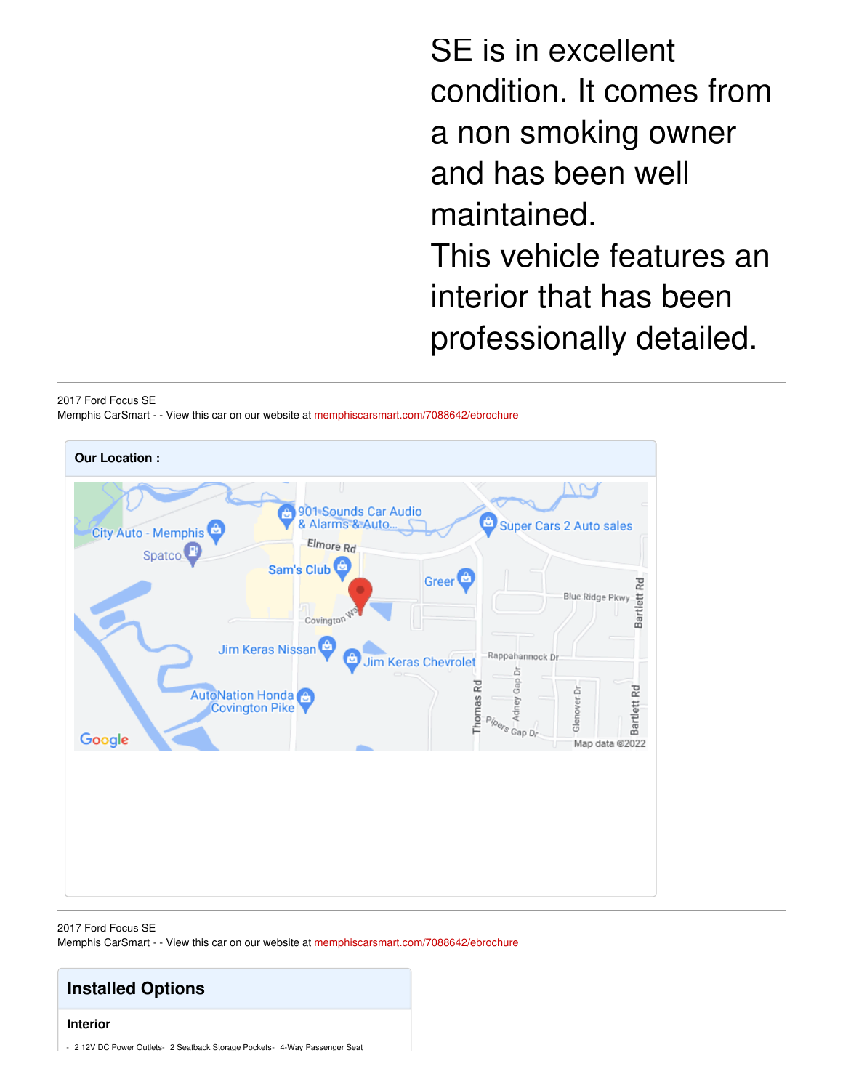SE is in excellent condition. It comes from a non smoking owner and has been well maintained. This vehicle features an interior that has been professionally detailed.

#### 2017 Ford Focus SE

Memphis CarSmart - - View this car on our website at [memphiscarsmart.com/7088642/ebrochure](https://memphiscarsmart.com/vehicle/7088642/2017-ford-focus-se-memphis-tennessee-38128/7088642/ebrochure)



#### 2017 Ford Focus SE Memphis CarSmart - - View this car on our website at [memphiscarsmart.com/7088642/ebrochure](https://memphiscarsmart.com/vehicle/7088642/2017-ford-focus-se-memphis-tennessee-38128/7088642/ebrochure)

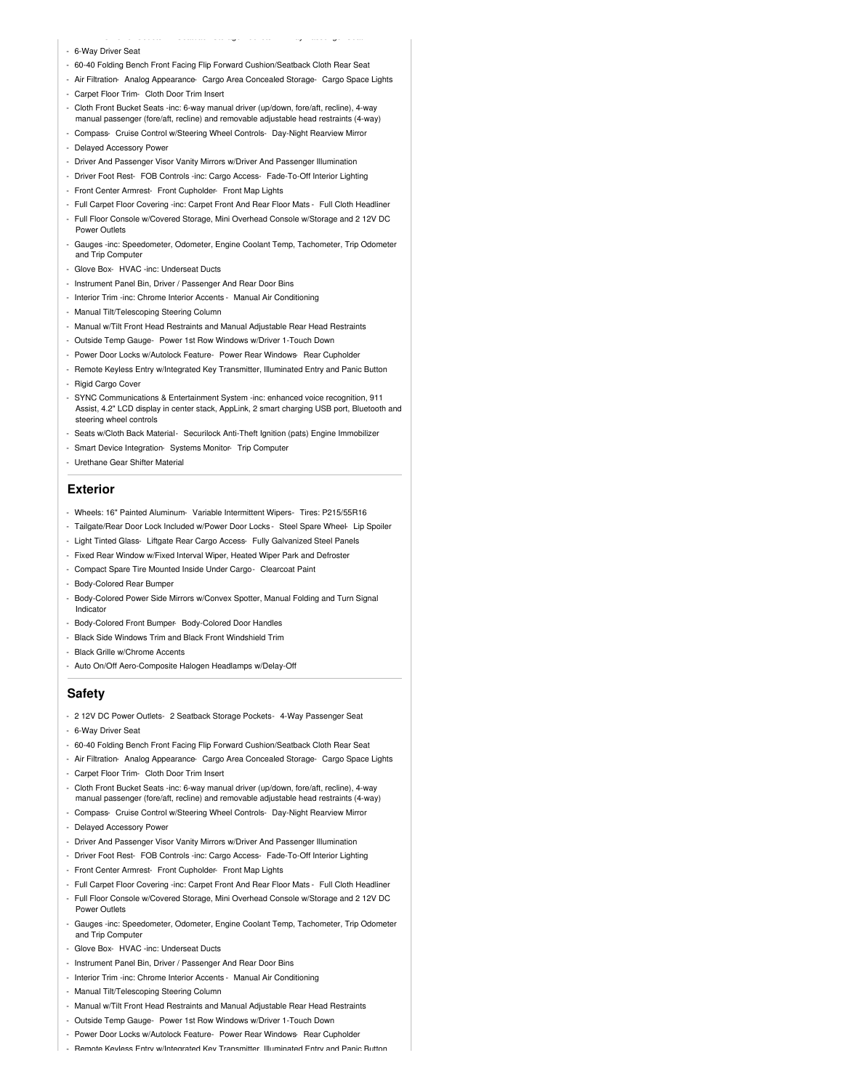- 6-Way Driver Seat
- 60-40 Folding Bench Front Facing Flip Forward Cushion/Seatback Cloth Rear Seat

- 2 12V DC Power Outlets- 2 Seatback Storage Pockets- 4-Way Passenger Seat

- Air Filtration- Analog Appearance- Cargo Area Concealed Storage- Cargo Space Lights
- Carpet Floor Trim- Cloth Door Trim Insert
- Cloth Front Bucket Seats -inc: 6-way manual driver (up/down, fore/aft, recline), 4-way manual passenger (fore/aft, recline) and removable adjustable head restraints (4-way)
- Compass- Cruise Control w/Steering Wheel Controls- Day-Night Rearview Mirror
- Delayed Accessory Power
- Driver And Passenger Visor Vanity Mirrors w/Driver And Passenger Illumination
- Driver Foot Rest- FOB Controls -inc: Cargo Access- Fade-To-Off Interior Lighting
- Front Center Armrest- Front Cupholder- Front Map Lights
- Full Carpet Floor Covering -inc: Carpet Front And Rear Floor Mats Full Cloth Headliner
- Full Floor Console w/Covered Storage, Mini Overhead Console w/Storage and 2 12V DC Power Outlets
- Gauges -inc: Speedometer, Odometer, Engine Coolant Temp, Tachometer, Trip Odometer and Trip Computer
- Glove Box- HVAC -inc: Underseat Ducts
- Instrument Panel Bin, Driver / Passenger And Rear Door Bins
- Interior Trim -inc: Chrome Interior Accents Manual Air Conditioning
- Manual Tilt/Telescoping Steering Column
- Manual w/Tilt Front Head Restraints and Manual Adjustable Rear Head Restraints
- Outside Temp Gauge- Power 1st Row Windows w/Driver 1-Touch Down
- Power Door Locks w/Autolock Feature- Power Rear Windows- Rear Cupholder
- Remote Keyless Entry w/Integrated Key Transmitter, Illuminated Entry and Panic Button
- Rigid Cargo Cover
- SYNC Communications & Entertainment System -inc: enhanced voice recognition, 911 Assist, 4.2" LCD display in center stack, AppLink, 2 smart charging USB port, Bluetooth and steering wheel controls
- Seats w/Cloth Back Material- Securilock Anti-Theft Ignition (pats) Engine Immobilizer
- Smart Device Integration- Systems Monitor- Trip Computer
- Urethane Gear Shifter Material

#### **Exterior**

- Wheels: 16" Painted Aluminum- Variable Intermittent Wipers- Tires: P215/55R16
- Tailgate/Rear Door Lock Included w/Power Door Locks Steel Spare Wheel- Lip Spoiler
- Light Tinted Glass- Liftgate Rear Cargo Access- Fully Galvanized Steel Panels
- Fixed Rear Window w/Fixed Interval Wiper, Heated Wiper Park and Defroster
- Compact Spare Tire Mounted Inside Under Cargo- Clearcoat Paint
- Body-Colored Rear Bumper
- Body-Colored Power Side Mirrors w/Convex Spotter, Manual Folding and Turn Signal Indicator
- Body-Colored Front Bumper- Body-Colored Door Handles
- Black Side Windows Trim and Black Front Windshield Trim
- Black Grille w/Chrome Accents
- Auto On/Off Aero-Composite Halogen Headlamps w/Delay-Off

#### **Safety**

- 2 12V DC Power Outlets- 2 Seatback Storage Pockets- 4-Way Passenger Seat
- 6-Way Driver Seat
- 60-40 Folding Bench Front Facing Flip Forward Cushion/Seatback Cloth Rear Seat
- Air Filtration- Analog Appearance- Cargo Area Concealed Storage- Cargo Space Lights
- Carpet Floor Trim- Cloth Door Trim Insert
- Cloth Front Bucket Seats -inc: 6-way manual driver (up/down, fore/aft, recline), 4-way manual passenger (fore/aft, recline) and removable adjustable head restraints (4-way)
- Compass- Cruise Control w/Steering Wheel Controls- Day-Night Rearview Mirror
- Delayed Accessory Power
- Driver And Passenger Visor Vanity Mirrors w/Driver And Passenger Illumination
- Driver Foot Rest- FOB Controls -inc: Cargo Access- Fade-To-Off Interior Lighting
- Front Center Armrest- Front Cupholder- Front Map Lights
- Full Carpet Floor Covering -inc: Carpet Front And Rear Floor Mats Full Cloth Headliner
- Full Floor Console w/Covered Storage, Mini Overhead Console w/Storage and 2 12V DC Power Outlets
- Gauges -inc: Speedometer, Odometer, Engine Coolant Temp, Tachometer, Trip Odometer and Trip Computer
- Glove Box- HVAC -inc: Underseat Ducts
- Instrument Panel Bin, Driver / Passenger And Rear Door Bins
- Interior Trim -inc: Chrome Interior Accents Manual Air Conditioning
- Manual Tilt/Telescoping Steering Column
- Manual w/Tilt Front Head Restraints and Manual Adjustable Rear Head Restraints
- Outside Temp Gauge- Power 1st Row Windows w/Driver 1-Touch Down
- Power Door Locks w/Autolock Feature- Power Rear Windows- Rear Cupholder
- Remote Keyless Entry w/Integrated Key Transmitter, Illuminated Entry and Panic Button